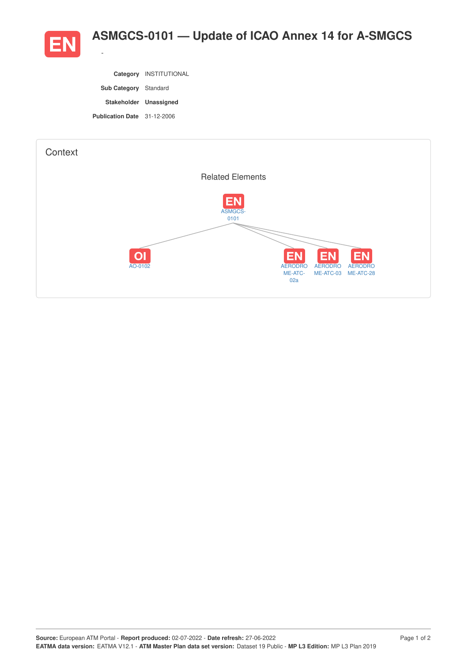

|                                    | Category INSTITUTIONAL |
|------------------------------------|------------------------|
| <b>Sub Category</b> Standard       |                        |
| Stakeholder Unassigned             |                        |
| <b>Publication Date</b> 31-12-2006 |                        |